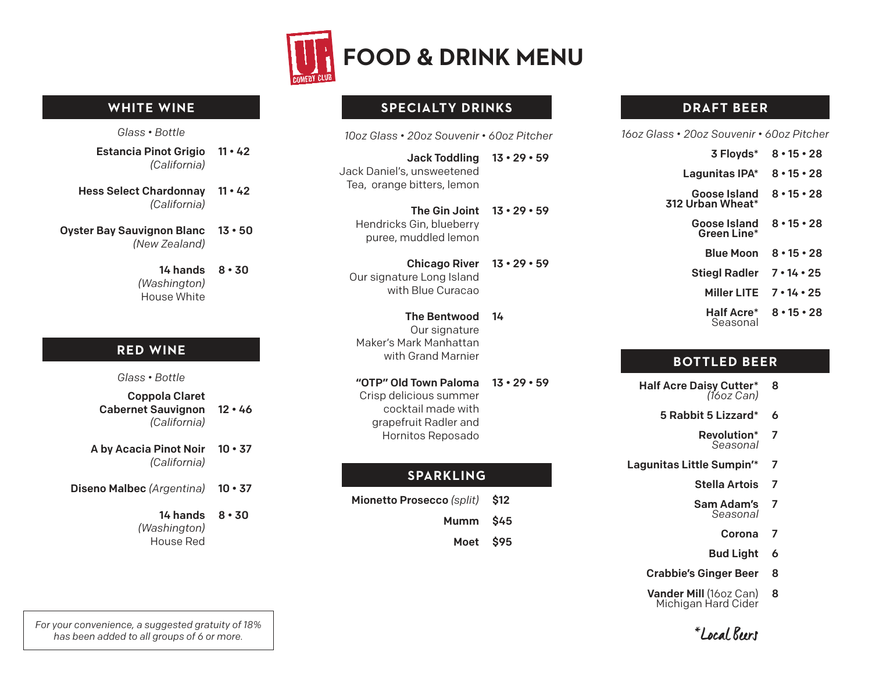

#### **WHITE WINE**

*Glass • Bottle*

- Estancia Pinot Grigio 11 42 *(California)*
- Hess Select Chardonnay *(California)* 11 • 42
- Oyster Bay Sauvignon Blanc *(New Zealand)* 13 • 50
	- 14 hands *(Washington)* House White 8 • 30

## **RED WINE**

*Glass • Bottle*

- Coppola Claret Cabernet Sauvignon *(California)* 12 • 46
- A by Acacia Pinot Noir  *(California)*  $10 \cdot 37$
- Diseno Malbec *(Argentina)* 10 • 37
	- 14 hands *(Washington)* House Red 8 • 30

*For your convenience, a suggested gratuity of 18% has been added to all groups of 6 or more.*

## **SPECIALTY DRINKS**

- Jack Toddling 13 29 59 Jack Daniel's, unsweetened Tea, orange bitters, lemon
	- The Gin Joint 13 29 59 Hendricks Gin, blueberry puree, muddled lemon
- Chicago River 13 29 59 Our signature Long Island with Blue Curacao
- The Bentwood Our signature Maker's Mark Manhattan with Grand Marnier 14
- "OTP" Old Town Paloma Crisp delicious summer cocktail made with grapefruit Radler and Hornitos Reposado 13 • 29 • 59

## **SPARKLING**

- Mionetto Prosecco *(split)* \$12
	- Mumm \$45
	- Moet \$95

# **DRAFT BEER**

*10oz Glass • 20oz Souvenir • 60oz Pitcher 16oz Glass • 20oz Souvenir • 60oz Pitcher*

3 Floyds\* Lagunitas IPA\* Goose Island 312 Urban Wheat\* Goose Island Green Line\* Blue Moon Stiegl Radler 7 • 14 • 25 Miller LITE 7 • 14 • 25 Half Acre\* Seasonal 8 • 15 • 28 8 • 15 • 28 8 • 15 • 28 8 • 15 • 28 8 • 15 • 28 8 • 15 • 28

## **BOTTLED BEER**

- Half Acre Daisy Cutter\* *(16oz Can)* 8
	- 5 Rabbit 5 Lizzard\* 6
		- Revolution\* *Seasonal* 7
- Lagunitas Little Sumpin'\* 7
	- Stella Artois 7
	- Sam Adam's *Seasonal* 7
		- Corona 7
		- Bud Light 6
	- Crabbie's Ginger Beer 8
	- Vander Mill (16oz Can) Michigan Hard Cider 8

\*Local Beers